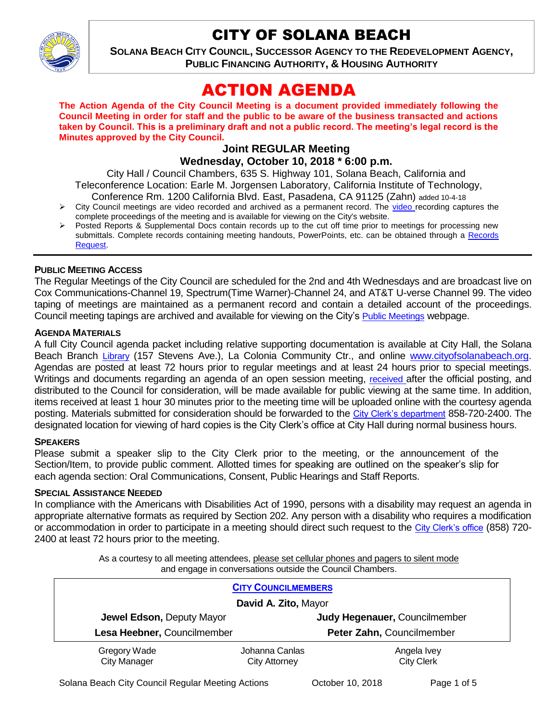

# CITY OF SOLANA BEACH

**SOLANA BEACH CITY COUNCIL, SUCCESSOR AGENCY TO THE REDEVELOPMENT AGENCY, PUBLIC FINANCING AUTHORITY, & HOUSING AUTHORITY** 

# ACTION AGENDA

**The Action Agenda of the City Council Meeting is a document provided immediately following the Council Meeting in order for staff and the public to be aware of the business transacted and actions taken by Council. This is a preliminary draft and not a public record. The meeting's legal record is the Minutes approved by the City Council.**

#### **Joint REGULAR Meeting Wednesday, October 10, 2018 \* 6:00 p.m.**

City Hall / Council Chambers, 635 S. Highway 101, Solana Beach, California and Teleconference Location: Earle M. Jorgensen Laboratory, California Institute of Technology, Conference Rm. 1200 California Blvd. East, Pasadena, CA 91125 (Zahn) added 10-4-18

- $\triangleright$  City Council meetings are [video r](https://solanabeach.12milesout.com/#page=1)ecorded and archived as a permanent record. The video recording captures the complete proceedings of the meeting and is available for viewing on the City's website.
- Posted Reports & Supplemental Docs contain records up to the cut off time prior to meetings for processing new submittals. Complete records containing meeting handouts, PowerPoints, etc. can be obtained through a Records [Request.](http://www.ci.solana-beach.ca.us/index.asp?SEC=F5D45D10-70CE-4291-A27C-7BD633FC6742&Type=B_BASIC)

#### **PUBLIC MEETING ACCESS**

The Regular Meetings of the City Council are scheduled for the 2nd and 4th Wednesdays and are broadcast live on Cox Communications-Channel 19, Spectrum(Time Warner)-Channel 24, and AT&T U-verse Channel 99. The video taping of meetings are maintained as a permanent record and contain a detailed account of the proceedings. Council meeting tapings are archived and available for viewing on the City's [Public Meetings](https://www.ci.solana-beach.ca.us/index.asp?SEC=F0F1200D-21C6-4A88-8AE1-0BC07C1A81A7&Type=B_BASIC) webpage.

#### **AGENDA MATERIALS**

A full City Council agenda packet including relative supporting documentation is available at City Hall, the Solana Beach Branch [Library](http://www.sdcl.org/locations_SB.html) (157 Stevens Ave.), La Colonia Community Ctr., and online [www.cityofsolanabeach.org.](http://www.cityofsolanabeach.org/) Agendas are posted at least 72 hours prior to regular meetings and at least 24 hours prior to special meetings. Writings and documents regarding an agenda of an open session meeting, [received](mailto:EMAILGRP-CityClerksOfc@cosb.org) after the official posting, and distributed to the Council for consideration, will be made available for public viewing at the same time. In addition, items received at least 1 hour 30 minutes prior to the meeting time will be uploaded online with the courtesy agenda posting. Materials submitted for consideration should be forwarded to the [City Clerk's department](mailto:EMAILGRP-CityClerksOfc@cosb.org) 858-720-2400. The designated location for viewing of hard copies is the City Clerk's office at City Hall during normal business hours.

#### **SPEAKERS**

Please submit a speaker slip to the City Clerk prior to the meeting, or the announcement of the Section/Item, to provide public comment. Allotted times for speaking are outlined on the speaker's slip for each agenda section: Oral Communications, Consent, Public Hearings and Staff Reports.

#### **SPECIAL ASSISTANCE NEEDED**

In compliance with the Americans with Disabilities Act of 1990, persons with a disability may request an agenda in appropriate alternative formats as required by Section 202. Any person with a disability who requires a modification or accommodation in order to participate in a meeting should direct such request to the [City Clerk's office](mailto:clerkadmin@cosb.org?subject=City%20Clerk%20Notice%20of%20Special%20Services%20Needed) (858) 720- 2400 at least 72 hours prior to the meeting.

> As a courtesy to all meeting attendees, please set cellular phones and pagers to silent mode and engage in conversations outside the Council Chambers.

| <b>CITY COUNCILMEMBERS</b>  |                      |                               |
|-----------------------------|----------------------|-------------------------------|
| David A. Zito, Mayor        |                      |                               |
| Jewel Edson, Deputy Mayor   |                      | Judy Hegenauer, Councilmember |
| Lesa Heebner, Councilmember |                      | Peter Zahn, Councilmember     |
| Gregory Wade                | Johanna Canlas       | Angela Ivey                   |
| <b>City Manager</b>         | <b>City Attorney</b> | <b>City Clerk</b>             |

Solana Beach City Council Regular Meeting Actions Correction Corporation 2018 Page 1 of 5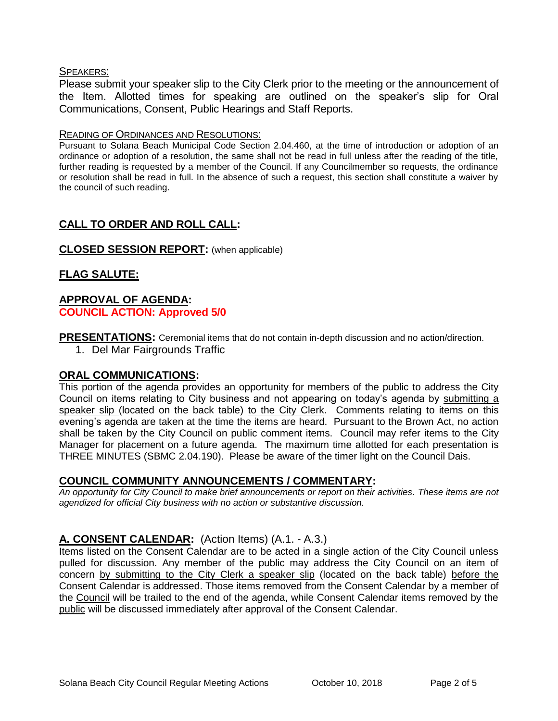#### SPEAKERS:

Please submit your speaker slip to the City Clerk prior to the meeting or the announcement of the Item. Allotted times for speaking are outlined on the speaker's slip for Oral Communications, Consent, Public Hearings and Staff Reports.

#### READING OF ORDINANCES AND RESOLUTIONS:

Pursuant to Solana Beach Municipal Code Section 2.04.460, at the time of introduction or adoption of an ordinance or adoption of a resolution, the same shall not be read in full unless after the reading of the title, further reading is requested by a member of the Council. If any Councilmember so requests, the ordinance or resolution shall be read in full. In the absence of such a request, this section shall constitute a waiver by the council of such reading.

# **CALL TO ORDER AND ROLL CALL:**

## **CLOSED SESSION REPORT:** (when applicable)

# **FLAG SALUTE:**

# **APPROVAL OF AGENDA: COUNCIL ACTION: Approved 5/0**

**PRESENTATIONS:** Ceremonial items that do not contain in-depth discussion and no action/direction.

1. Del Mar Fairgrounds Traffic

#### **ORAL COMMUNICATIONS:**

This portion of the agenda provides an opportunity for members of the public to address the City Council on items relating to City business and not appearing on today's agenda by submitting a speaker slip (located on the back table) to the City Clerk. Comments relating to items on this evening's agenda are taken at the time the items are heard. Pursuant to the Brown Act, no action shall be taken by the City Council on public comment items. Council may refer items to the City Manager for placement on a future agenda. The maximum time allotted for each presentation is THREE MINUTES (SBMC 2.04.190). Please be aware of the timer light on the Council Dais.

#### **COUNCIL COMMUNITY ANNOUNCEMENTS / COMMENTARY:**

*An opportunity for City Council to make brief announcements or report on their activities. These items are not agendized for official City business with no action or substantive discussion.* 

# **A. CONSENT CALENDAR:** (Action Items) (A.1. - A.3.)

Items listed on the Consent Calendar are to be acted in a single action of the City Council unless pulled for discussion. Any member of the public may address the City Council on an item of concern by submitting to the City Clerk a speaker slip (located on the back table) before the Consent Calendar is addressed. Those items removed from the Consent Calendar by a member of the Council will be trailed to the end of the agenda, while Consent Calendar items removed by the public will be discussed immediately after approval of the Consent Calendar.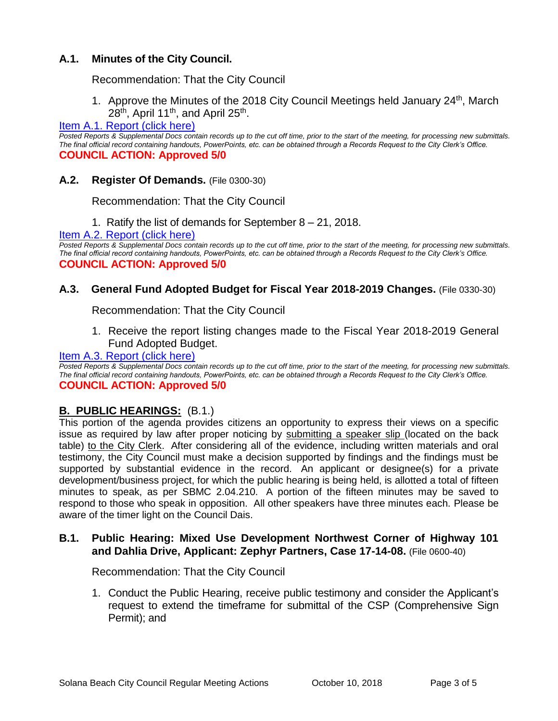# **A.1. Minutes of the City Council.**

Recommendation: That the City Council

1. Approve the Minutes of the 2018 City Council Meetings held January 24<sup>th</sup>, March 28<sup>th</sup>, April 11<sup>th</sup>, and April 25<sup>th</sup>.

## Item A.1. Report (click here)

*Posted Reports & Supplemental Docs contain records up to the cut off time, prior to the start of the meeting, for processing new submittals. The final official record containing handouts, PowerPoints, etc. can be obtained through a Records Request to the City Clerk's Office.* **COUNCIL ACTION: Approved 5/0**

#### **A.2. Register Of Demands.** (File 0300-30)

Recommendation: That the City Council

1. Ratify the list of demands for September 8 – 21, 2018.

[Item A.2. Report \(click here\)](https://solanabeach.govoffice3.com/vertical/Sites/%7B840804C2-F869-4904-9AE3-720581350CE7%7D/uploads/Item_A.2._Report_(click_here)_-_10-10-18.PDF) 

*Posted Reports & Supplemental Docs contain records up to the cut off time, prior to the start of the meeting, for processing new submittals. The final official record containing handouts, PowerPoints, etc. can be obtained through a Records Request to the City Clerk's Office.* **COUNCIL ACTION: Approved 5/0**

## **A.3. General Fund Adopted Budget for Fiscal Year 2018-2019 Changes.** (File 0330-30)

Recommendation: That the City Council

1. Receive the report listing changes made to the Fiscal Year 2018-2019 General Fund Adopted Budget.

#### [Item A.3. Report \(click here\)](https://solanabeach.govoffice3.com/vertical/Sites/%7B840804C2-F869-4904-9AE3-720581350CE7%7D/uploads/Item_A.3._Report_(click_here)_-_10-10-18.PDF)

*Posted Reports & Supplemental Docs contain records up to the cut off time, prior to the start of the meeting, for processing new submittals. The final official record containing handouts, PowerPoints, etc. can be obtained through a Records Request to the City Clerk's Office.* **COUNCIL ACTION: Approved 5/0**

# **B. PUBLIC HEARINGS:** (B.1.)

This portion of the agenda provides citizens an opportunity to express their views on a specific issue as required by law after proper noticing by submitting a speaker slip (located on the back table) to the City Clerk. After considering all of the evidence, including written materials and oral testimony, the City Council must make a decision supported by findings and the findings must be supported by substantial evidence in the record. An applicant or designee(s) for a private development/business project, for which the public hearing is being held, is allotted a total of fifteen minutes to speak, as per SBMC 2.04.210. A portion of the fifteen minutes may be saved to respond to those who speak in opposition. All other speakers have three minutes each. Please be aware of the timer light on the Council Dais.

#### **B.1. Public Hearing: Mixed Use Development Northwest Corner of Highway 101 and Dahlia Drive, Applicant: Zephyr Partners, Case 17-14-08.** (File 0600-40)

Recommendation: That the City Council

1. Conduct the Public Hearing, receive public testimony and consider the Applicant's request to extend the timeframe for submittal of the CSP (Comprehensive Sign Permit); and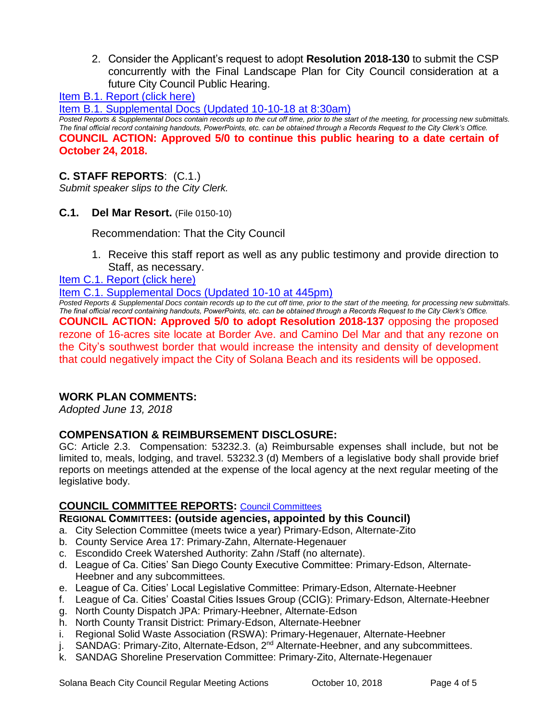2. Consider the Applicant's request to adopt **Resolution 2018-130** to submit the CSP concurrently with the Final Landscape Plan for City Council consideration at a future City Council Public Hearing.

[Item B.1. Report \(click here\)](https://solanabeach.govoffice3.com/vertical/Sites/%7B840804C2-F869-4904-9AE3-720581350CE7%7D/uploads/Item_B.1._Report_(click_here)_-_10-10-18.PDF) 

[Item B.1. Supplemental Docs \(Updated 10-10-18 at 8:30am\)](https://solanabeach.govoffice3.com/vertical/Sites/%7B840804C2-F869-4904-9AE3-720581350CE7%7D/uploads/Item_B.1._Supplemental_Docs_(Updated_10-9).pdf) 

*Posted Reports & Supplemental Docs contain records up to the cut off time, prior to the start of the meeting, for processing new submittals. The final official record containing handouts, PowerPoints, etc. can be obtained through a Records Request to the City Clerk's Office.* **COUNCIL ACTION: Approved 5/0 to continue this public hearing to a date certain of October 24, 2018.**

# **C. STAFF REPORTS**: (C.1.)

*Submit speaker slips to the City Clerk.*

**C.1. Del Mar Resort.** (File 0150-10)

Recommendation: That the City Council

- 1. Receive this staff report as well as any public testimony and provide direction to Staff, as necessary.
- [Item C.1. Report \(click here\)](https://solanabeach.govoffice3.com/vertical/Sites/%7B840804C2-F869-4904-9AE3-720581350CE7%7D/uploads/Item_C.1._Report_(click_here)_-_10-10-18.pdf)

[Item C.1. Supplemental Docs \(Updated 10-10](https://solanabeach.govoffice3.com/vertical/Sites/%7B840804C2-F869-4904-9AE3-720581350CE7%7D/uploads/Item_C.1._Supplemental_Docs_(updated_10-10_at_445pm).pdf) at 445pm)

*Posted Reports & Supplemental Docs contain records up to the cut off time, prior to the start of the meeting, for processing new submittals. The final official record containing handouts, PowerPoints, etc. can be obtained through a Records Request to the City Clerk's Office.* **COUNCIL ACTION: Approved 5/0 to adopt Resolution 2018-137** opposing the proposed rezone of 16-acres site locate at Border Ave. and Camino Del Mar and that any rezone on the City's southwest border that would increase the intensity and density of development that could negatively impact the City of Solana Beach and its residents will be opposed.

# **WORK PLAN COMMENTS:**

*Adopted June 13, 2018*

#### **COMPENSATION & REIMBURSEMENT DISCLOSURE:**

GC: Article 2.3. Compensation: 53232.3. (a) Reimbursable expenses shall include, but not be limited to, meals, lodging, and travel. 53232.3 (d) Members of a legislative body shall provide brief reports on meetings attended at the expense of the local agency at the next regular meeting of the legislative body.

# **COUNCIL COMMITTEE REPORTS:** [Council Committees](https://www.ci.solana-beach.ca.us/index.asp?SEC=584E1192-3850-46EA-B977-088AC3E81E0D&Type=B_BASIC)

#### **REGIONAL COMMITTEES: (outside agencies, appointed by this Council)**

- a. City Selection Committee (meets twice a year) Primary-Edson, Alternate-Zito
- b. County Service Area 17: Primary-Zahn, Alternate-Hegenauer
- c. Escondido Creek Watershed Authority: Zahn /Staff (no alternate).
- d. League of Ca. Cities' San Diego County Executive Committee: Primary-Edson, Alternate-Heebner and any subcommittees.
- e. League of Ca. Cities' Local Legislative Committee: Primary-Edson, Alternate-Heebner
- f. League of Ca. Cities' Coastal Cities Issues Group (CCIG): Primary-Edson, Alternate-Heebner
- g. North County Dispatch JPA: Primary-Heebner, Alternate-Edson
- h. North County Transit District: Primary-Edson, Alternate-Heebner
- i. Regional Solid Waste Association (RSWA): Primary-Hegenauer, Alternate-Heebner
- j. SANDAG: Primary-Zito, Alternate-Edson, 2<sup>nd</sup> Alternate-Heebner, and any subcommittees.
- k. SANDAG Shoreline Preservation Committee: Primary-Zito, Alternate-Hegenauer